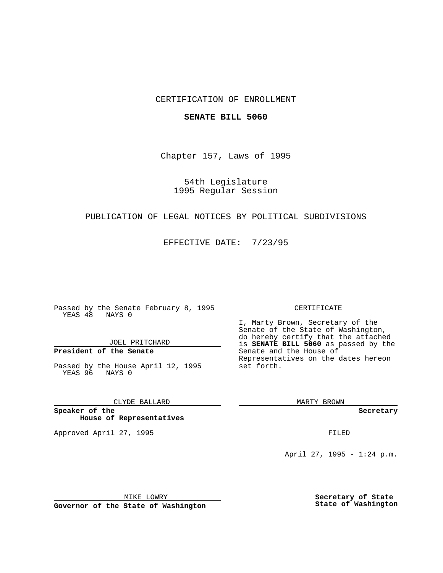#### CERTIFICATION OF ENROLLMENT

#### **SENATE BILL 5060**

Chapter 157, Laws of 1995

54th Legislature 1995 Regular Session

# PUBLICATION OF LEGAL NOTICES BY POLITICAL SUBDIVISIONS

EFFECTIVE DATE: 7/23/95

Passed by the Senate February 8, 1995 YEAS 48 NAYS 0

JOEL PRITCHARD

# **President of the Senate**

Passed by the House April 12, 1995 YEAS 96 NAYS 0

CLYDE BALLARD

**Speaker of the House of Representatives**

Approved April 27, 1995 FILED

#### CERTIFICATE

I, Marty Brown, Secretary of the Senate of the State of Washington, do hereby certify that the attached is **SENATE BILL 5060** as passed by the Senate and the House of Representatives on the dates hereon set forth.

MARTY BROWN

**Secretary**

April 27, 1995 - 1:24 p.m.

MIKE LOWRY

**Governor of the State of Washington**

**Secretary of State State of Washington**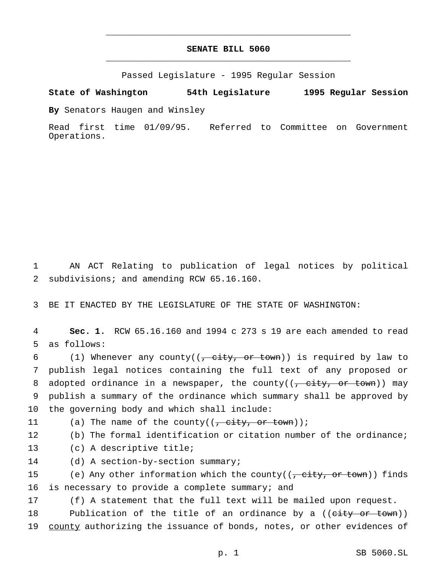### **SENATE BILL 5060** \_\_\_\_\_\_\_\_\_\_\_\_\_\_\_\_\_\_\_\_\_\_\_\_\_\_\_\_\_\_\_\_\_\_\_\_\_\_\_\_\_\_\_\_\_\_\_

\_\_\_\_\_\_\_\_\_\_\_\_\_\_\_\_\_\_\_\_\_\_\_\_\_\_\_\_\_\_\_\_\_\_\_\_\_\_\_\_\_\_\_\_\_\_\_

Passed Legislature - 1995 Regular Session

**State of Washington 54th Legislature 1995 Regular Session**

**By** Senators Haugen and Winsley

Read first time 01/09/95. Referred to Committee on Government Operations.

1 AN ACT Relating to publication of legal notices by political 2 subdivisions; and amending RCW 65.16.160.

3 BE IT ENACTED BY THE LEGISLATURE OF THE STATE OF WASHINGTON:

4 **Sec. 1.** RCW 65.16.160 and 1994 c 273 s 19 are each amended to read 5 as follows:

6 (1) Whenever any county( $(-$  city, or town)) is required by law to 7 publish legal notices containing the full text of any proposed or 8 adopted ordinance in a newspaper, the county( $\frac{1}{f}$  city, or town)) may 9 publish a summary of the ordinance which summary shall be approved by 10 the governing body and which shall include:

11 (a) The name of the county( $(\frac{\pi}{2}, \frac{\pi}{2})$  or town));

12 (b) The formal identification or citation number of the ordinance;

13 (c) A descriptive title;

14 (d) A section-by-section summary;

15 (e) Any other information which the county((<del>, city, or town</del>)) finds 16 is necessary to provide a complete summary; and

17 (f) A statement that the full text will be mailed upon request.

18 Publication of the title of an ordinance by a ((city or town)) 19 county authorizing the issuance of bonds, notes, or other evidences of